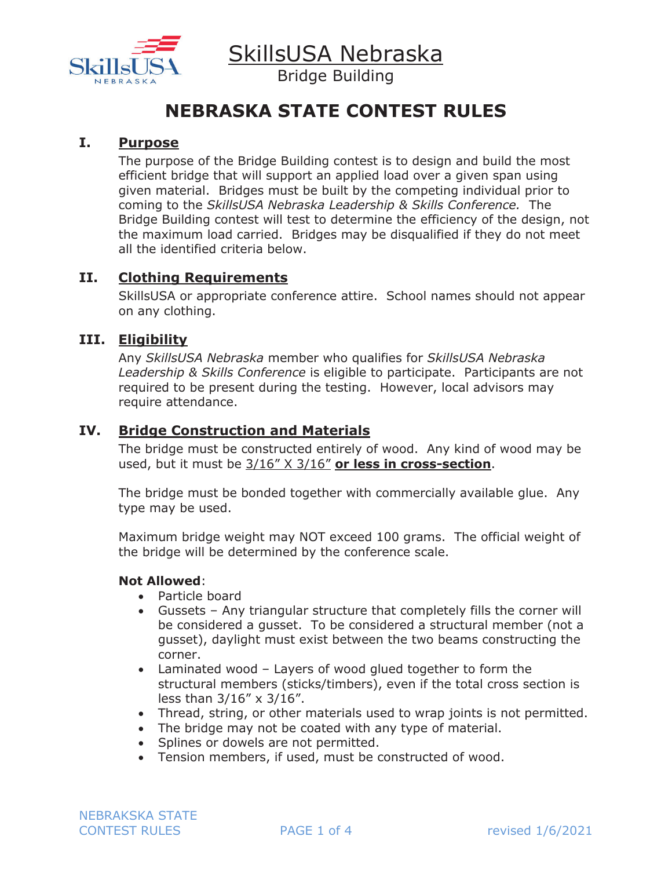

Bridge Building

# **NEBRASKA STATE CONTEST RULES**

#### **I. Purpose**

The purpose of the Bridge Building contest is to design and build the most efficient bridge that will support an applied load over a given span using given material. Bridges must be built by the competing individual prior to coming to the *SkillsUSA Nebraska Leadership & Skills Conference.* The Bridge Building contest will test to determine the efficiency of the design, not the maximum load carried. Bridges may be disqualified if they do not meet all the identified criteria below.

#### **II. Clothing Requirements**

SkillsUSA or appropriate conference attire. School names should not appear on any clothing.

#### **III. Eligibility**

Any *SkillsUSA Nebraska* member who qualifies for *SkillsUSA Nebraska Leadership & Skills Conference* is eligible to participate. Participants are not required to be present during the testing. However, local advisors may require attendance.

#### **IV. Bridge Construction and Materials**

The bridge must be constructed entirely of wood. Any kind of wood may be used, but it must be 3/16" X 3/16" **or less in cross-section**.

The bridge must be bonded together with commercially available glue. Any type may be used.

Maximum bridge weight may NOT exceed 100 grams. The official weight of the bridge will be determined by the conference scale.

#### **Not Allowed**:

- Particle board
- Gussets Any triangular structure that completely fills the corner will be considered a gusset. To be considered a structural member (not a gusset), daylight must exist between the two beams constructing the corner.
- Laminated wood Layers of wood glued together to form the structural members (sticks/timbers), even if the total cross section is less than 3/16" x 3/16".
- Thread, string, or other materials used to wrap joints is not permitted.
- The bridge may not be coated with any type of material.
- Splines or dowels are not permitted.
- Tension members, if used, must be constructed of wood.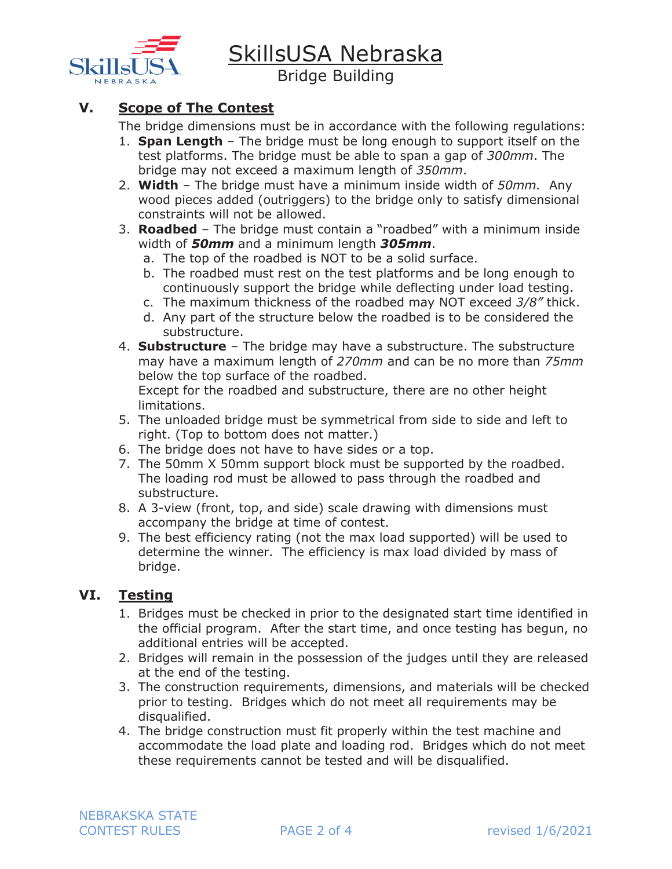

Bridge Building

# **V. Scope of The Contest**

The bridge dimensions must be in accordance with the following regulations:

- 1. **Span Length**  The bridge must be long enough to support itself on the test platforms. The bridge must be able to span a gap of *300mm*. The bridge may not exceed a maximum length of *350mm*.
- 2. **Width** The bridge must have a minimum inside width of *50mm.* Any wood pieces added (outriggers) to the bridge only to satisfy dimensional constraints will not be allowed.
- 3. **Roadbed** The bridge must contain a "roadbed" with a minimum inside width of *50mm* and a minimum length *305mm*.
	- a. The top of the roadbed is NOT to be a solid surface.
	- b. The roadbed must rest on the test platforms and be long enough to continuously support the bridge while deflecting under load testing.
	- c. The maximum thickness of the roadbed may NOT exceed *3/8"* thick.
	- d. Any part of the structure below the roadbed is to be considered the substructure.
- 4. **Substructure** The bridge may have a substructure. The substructure may have a maximum length of *270mm* and can be no more than *75mm* below the top surface of the roadbed. Except for the roadbed and substructure, there are no other height

limitations.

- 5. The unloaded bridge must be symmetrical from side to side and left to right. (Top to bottom does not matter.)
- 6. The bridge does not have to have sides or a top.
- 7. The 50mm X 50mm support block must be supported by the roadbed. The loading rod must be allowed to pass through the roadbed and substructure.
- 8. A 3-view (front, top, and side) scale drawing with dimensions must accompany the bridge at time of contest.
- 9. The best efficiency rating (not the max load supported) will be used to determine the winner. The efficiency is max load divided by mass of bridge.

# **VI. Testing**

- 1. Bridges must be checked in prior to the designated start time identified in the official program. After the start time, and once testing has begun, no additional entries will be accepted.
- 2. Bridges will remain in the possession of the judges until they are released at the end of the testing.
- 3. The construction requirements, dimensions, and materials will be checked prior to testing. Bridges which do not meet all requirements may be disqualified.
- 4. The bridge construction must fit properly within the test machine and accommodate the load plate and loading rod. Bridges which do not meet these requirements cannot be tested and will be disqualified.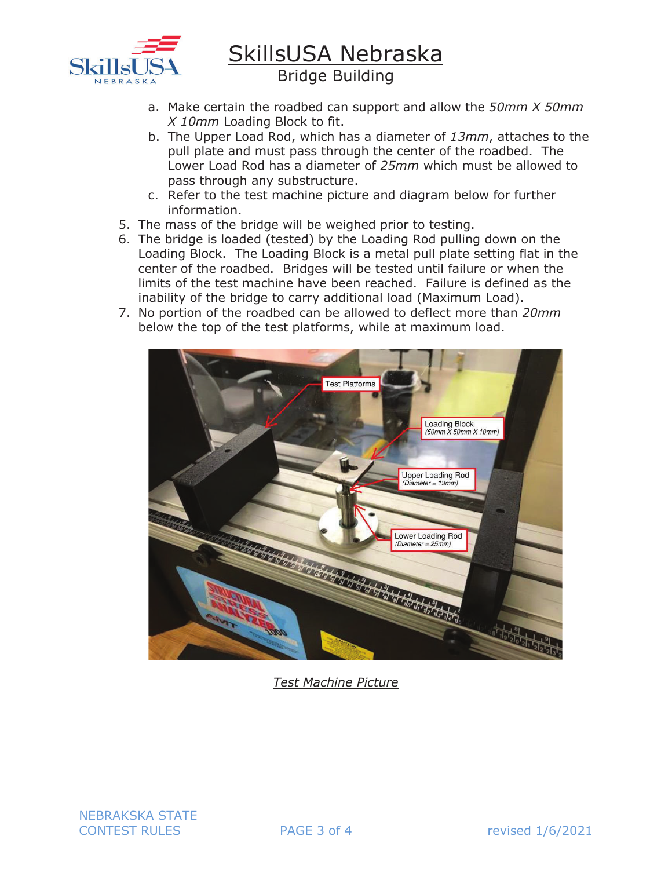

Bridge Building

- a. Make certain the roadbed can support and allow the *50mm X 50mm X 10mm* Loading Block to fit.
- b. The Upper Load Rod, which has a diameter of *13mm*, attaches to the pull plate and must pass through the center of the roadbed. The Lower Load Rod has a diameter of *25mm* which must be allowed to pass through any substructure.
- c. Refer to the test machine picture and diagram below for further information.
- 5. The mass of the bridge will be weighed prior to testing.
- 6. The bridge is loaded (tested) by the Loading Rod pulling down on the Loading Block. The Loading Block is a metal pull plate setting flat in the center of the roadbed. Bridges will be tested until failure or when the limits of the test machine have been reached. Failure is defined as the inability of the bridge to carry additional load (Maximum Load).
- 7. No portion of the roadbed can be allowed to deflect more than *20mm* below the top of the test platforms, while at maximum load.



*Test Machine Picture* 

NEBRAKSKA STATE CONTEST RULES **PAGE 3 of 4** revised 1/6/2021